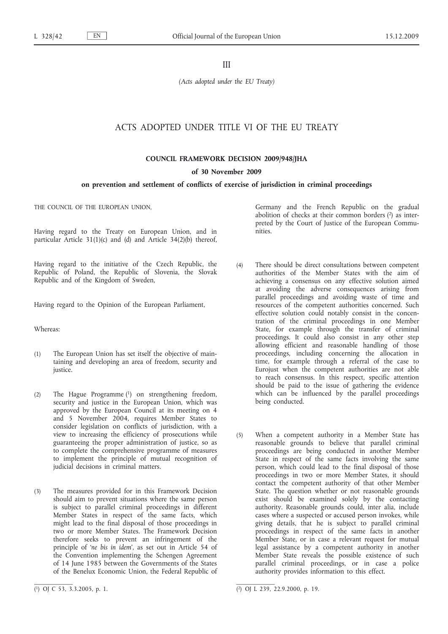III

*(Acts adopted under the EU Treaty)*

# ACTS ADOPTED UNDER TITLE VI OF THE EU TREATY

**COUNCIL FRAMEWORK DECISION 2009/948/JHA**

**of 30 November 2009**

# **on prevention and settlement of conflicts of exercise of jurisdiction in criminal proceedings**

THE COUNCIL OF THE EUROPEAN UNION,

Having regard to the Treaty on European Union, and in particular Article 31(1)(c) and (d) and Article 34(2)(b) thereof,

Having regard to the initiative of the Czech Republic, the Republic of Poland, the Republic of Slovenia, the Slovak Republic and of the Kingdom of Sweden,

Having regard to the Opinion of the European Parliament,

#### Whereas:

- (1) The European Union has set itself the objective of maintaining and developing an area of freedom, security and justice.
- (2) The Hague Programme (1) on strengthening freedom, security and justice in the European Union, which was approved by the European Council at its meeting on 4 and 5 November 2004, requires Member States to consider legislation on conflicts of jurisdiction, with a view to increasing the efficiency of prosecutions while guaranteeing the proper administration of justice, so as to complete the comprehensive programme of measures to implement the principle of mutual recognition of judicial decisions in criminal matters.
- (3) The measures provided for in this Framework Decision should aim to prevent situations where the same person is subject to parallel criminal proceedings in different Member States in respect of the same facts, which might lead to the final disposal of those proceedings in two or more Member States. The Framework Decision therefore seeks to prevent an infringement of the principle of '*ne bis in idem*', as set out in Article 54 of the Convention implementing the Schengen Agreement of 14 June 1985 between the Governments of the States of the Benelux Economic Union, the Federal Republic of

Germany and the French Republic on the gradual abolition of checks at their common borders (2) as interpreted by the Court of Justice of the European Communities.

- (4) There should be direct consultations between competent authorities of the Member States with the aim of achieving a consensus on any effective solution aimed at avoiding the adverse consequences arising from parallel proceedings and avoiding waste of time and resources of the competent authorities concerned. Such effective solution could notably consist in the concentration of the criminal proceedings in one Member State, for example through the transfer of criminal proceedings. It could also consist in any other step allowing efficient and reasonable handling of those proceedings, including concerning the allocation in time, for example through a referral of the case to Eurojust when the competent authorities are not able to reach consensus. In this respect, specific attention should be paid to the issue of gathering the evidence which can be influenced by the parallel proceedings being conducted.
- (5) When a competent authority in a Member State has reasonable grounds to believe that parallel criminal proceedings are being conducted in another Member State in respect of the same facts involving the same person, which could lead to the final disposal of those proceedings in two or more Member States, it should contact the competent authority of that other Member State. The question whether or not reasonable grounds exist should be examined solely by the contacting authority. Reasonable grounds could, inter alia, include cases where a suspected or accused person invokes, while giving details, that he is subject to parallel criminal proceedings in respect of the same facts in another Member State, or in case a relevant request for mutual legal assistance by a competent authority in another Member State reveals the possible existence of such parallel criminal proceedings, or in case a police authority provides information to this effect.

<sup>(1)</sup> OJ C 53, 3.3.2005, p. 1.

<sup>(2)</sup> OJ L 239, 22.9.2000, p. 19.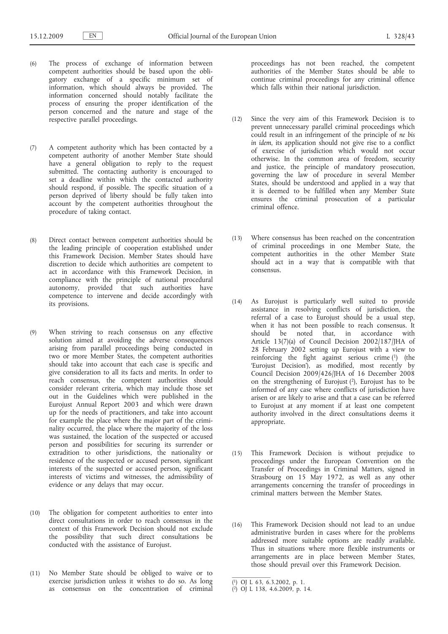- (6) The process of exchange of information between competent authorities should be based upon the obligatory exchange of a specific minimum set of information, which should always be provided. The information concerned should notably facilitate the process of ensuring the proper identification of the person concerned and the nature and stage of the respective parallel proceedings.
- (7) A competent authority which has been contacted by a competent authority of another Member State should have a general obligation to reply to the request submitted. The contacting authority is encouraged to set a deadline within which the contacted authority should respond, if possible. The specific situation of a person deprived of liberty should be fully taken into account by the competent authorities throughout the procedure of taking contact.
- (8) Direct contact between competent authorities should be the leading principle of cooperation established under this Framework Decision. Member States should have discretion to decide which authorities are competent to act in accordance with this Framework Decision, in compliance with the principle of national procedural autonomy, provided that such authorities have competence to intervene and decide accordingly with its provisions.
- (9) When striving to reach consensus on any effective solution aimed at avoiding the adverse consequences arising from parallel proceedings being conducted in two or more Member States, the competent authorities should take into account that each case is specific and give consideration to all its facts and merits. In order to reach consensus, the competent authorities should consider relevant criteria, which may include those set out in the Guidelines which were published in the Eurojust Annual Report 2003 and which were drawn up for the needs of practitioners, and take into account for example the place where the major part of the criminality occurred, the place where the majority of the loss was sustained, the location of the suspected or accused person and possibilities for securing its surrender or extradition to other jurisdictions, the nationality or residence of the suspected or accused person, significant interests of the suspected or accused person, significant interests of victims and witnesses, the admissibility of evidence or any delays that may occur.
- (10) The obligation for competent authorities to enter into direct consultations in order to reach consensus in the context of this Framework Decision should not exclude the possibility that such direct consultations be conducted with the assistance of Eurojust.
- (11) No Member State should be obliged to waive or to exercise jurisdiction unless it wishes to do so. As long as consensus on the concentration of criminal

proceedings has not been reached, the competent authorities of the Member States should be able to continue criminal proceedings for any criminal offence which falls within their national jurisdiction.

- (12) Since the very aim of this Framework Decision is to prevent unnecessary parallel criminal proceedings which could result in an infringement of the principle of *ne bis in idem*, its application should not give rise to a conflict of exercise of jurisdiction which would not occur otherwise. In the common area of freedom, security and justice, the principle of mandatory prosecution, governing the law of procedure in several Member States, should be understood and applied in a way that it is deemed to be fulfilled when any Member State ensures the criminal prosecution of a particular criminal offence.
- (13) Where consensus has been reached on the concentration of criminal proceedings in one Member State, the competent authorities in the other Member State should act in a way that is compatible with that consensus.
- (14) As Eurojust is particularly well suited to provide assistance in resolving conflicts of jurisdiction, the referral of a case to Eurojust should be a usual step, when it has not been possible to reach consensus. It should be noted that, in accordance with Article 13(7)(a) of Council Decision 2002/187/JHA of 28 February 2002 setting up Eurojust with a view to reinforcing the fight against serious crime (1) (the 'Eurojust Decision'), as modified, most recently by Council Decision 2009/426/JHA of 16 December 2008 on the strengthening of Eurojust (2), Eurojust has to be informed of any case where conflicts of jurisdiction have arisen or are likely to arise and that a case can be referred to Eurojust at any moment if at least one competent authority involved in the direct consultations deems it appropriate.
- (15) This Framework Decision is without prejudice to proceedings under the European Convention on the Transfer of Proceedings in Criminal Matters, signed in Strasbourg on 15 May 1972, as well as any other arrangements concerning the transfer of proceedings in criminal matters between the Member States.
- (16) This Framework Decision should not lead to an undue administrative burden in cases where for the problems addressed more suitable options are readily available. Thus in situations where more flexible instruments or arrangements are in place between Member States, those should prevail over this Framework Decision.

<sup>(</sup> 1) OJ L 63, 6.3.2002, p. 1.

<sup>(</sup> 2) OJ L 138, 4.6.2009, p. 14.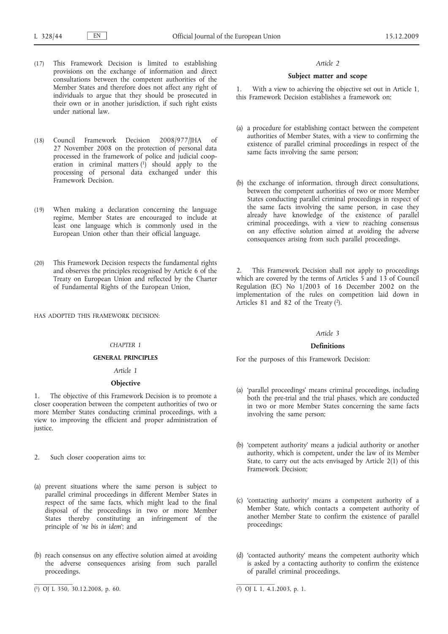- (17) This Framework Decision is limited to establishing provisions on the exchange of information and direct consultations between the competent authorities of the Member States and therefore does not affect any right of individuals to argue that they should be prosecuted in their own or in another jurisdiction, if such right exists under national law.
- (18) Council Framework Decision 2008/977/JHA of 27 November 2008 on the protection of personal data processed in the framework of police and judicial cooperation in criminal matters (1) should apply to the processing of personal data exchanged under this Framework Decision.
- (19) When making a declaration concerning the language regime, Member States are encouraged to include at least one language which is commonly used in the European Union other than their official language.
- (20) This Framework Decision respects the fundamental rights and observes the principles recognised by Article 6 of the Treaty on European Union and reflected by the Charter of Fundamental Rights of the European Union,

HAS ADOPTED THIS FRAMEWORK DECISION:

### *CHAPTER 1*

## **GENERAL PRINCIPLES**

## *Article 1*

## **Objective**

1. The objective of this Framework Decision is to promote a closer cooperation between the competent authorities of two or more Member States conducting criminal proceedings, with a view to improving the efficient and proper administration of justice.

- 2. Such closer cooperation aims to:
- (a) prevent situations where the same person is subject to parallel criminal proceedings in different Member States in respect of the same facts, which might lead to the final disposal of the proceedings in two or more Member States thereby constituting an infringement of the principle of '*ne bis in idem*'; and
- (b) reach consensus on any effective solution aimed at avoiding the adverse consequences arising from such parallel proceedings.

#### *Article 2*

### **Subject matter and scope**

1. With a view to achieving the objective set out in Article 1, this Framework Decision establishes a framework on:

- (a) a procedure for establishing contact between the competent authorities of Member States, with a view to confirming the existence of parallel criminal proceedings in respect of the same facts involving the same person;
- (b) the exchange of information, through direct consultations, between the competent authorities of two or more Member States conducting parallel criminal proceedings in respect of the same facts involving the same person, in case they already have knowledge of the existence of parallel criminal proceedings, with a view to reaching consensus on any effective solution aimed at avoiding the adverse consequences arising from such parallel proceedings.

2. This Framework Decision shall not apply to proceedings which are covered by the terms of Articles 5 and 13 of Council Regulation (EC) No 1/2003 of 16 December 2002 on the implementation of the rules on competition laid down in Articles 81 and 82 of the Treaty (2).

#### *Article 3*

#### **Definitions**

For the purposes of this Framework Decision:

- (a) 'parallel proceedings' means criminal proceedings, including both the pre-trial and the trial phases, which are conducted in two or more Member States concerning the same facts involving the same person;
- (b) 'competent authority' means a judicial authority or another authority, which is competent, under the law of its Member State, to carry out the acts envisaged by Article 2(1) of this Framework Decision;
- (c) 'contacting authority' means a competent authority of a Member State, which contacts a competent authority of another Member State to confirm the existence of parallel proceedings;
- (d) 'contacted authority' means the competent authority which is asked by a contacting authority to confirm the existence of parallel criminal proceedings.

<sup>(</sup> 1) OJ L 350, 30.12.2008, p. 60. (2) OJ L 1, 4.1.2003, p. 1.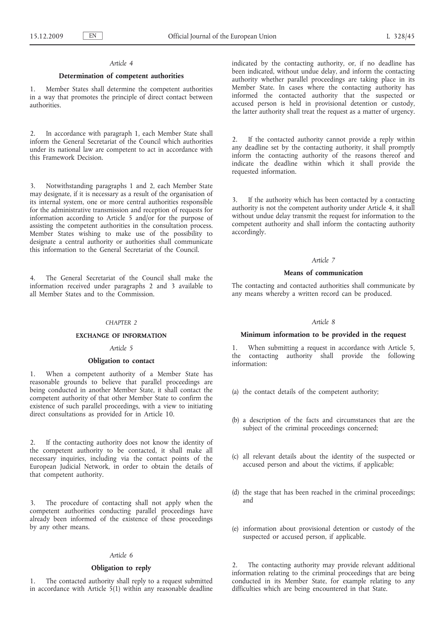### *Article 4*

### **Determination of competent authorities**

1. Member States shall determine the competent authorities in a way that promotes the principle of direct contact between authorities.

2. In accordance with paragraph 1, each Member State shall inform the General Secretariat of the Council which authorities under its national law are competent to act in accordance with this Framework Decision.

3. Notwithstanding paragraphs 1 and 2, each Member State may designate, if it is necessary as a result of the organisation of its internal system, one or more central authorities responsible for the administrative transmission and reception of requests for information according to Article 5 and/or for the purpose of assisting the competent authorities in the consultation process. Member States wishing to make use of the possibility to designate a central authority or authorities shall communicate this information to the General Secretariat of the Council.

The General Secretariat of the Council shall make the information received under paragraphs 2 and 3 available to all Member States and to the Commission.

#### *CHAPTER 2*

### **EXCHANGE OF INFORMATION**

#### *Article 5*

#### **Obligation to contact**

When a competent authority of a Member State has reasonable grounds to believe that parallel proceedings are being conducted in another Member State, it shall contact the competent authority of that other Member State to confirm the existence of such parallel proceedings, with a view to initiating direct consultations as provided for in Article 10.

2. If the contacting authority does not know the identity of the competent authority to be contacted, it shall make all necessary inquiries, including via the contact points of the European Judicial Network, in order to obtain the details of that competent authority.

3. The procedure of contacting shall not apply when the competent authorities conducting parallel proceedings have already been informed of the existence of these proceedings by any other means.

### *Article 6*

#### **Obligation to reply**

The contacted authority shall reply to a request submitted in accordance with Article 5(1) within any reasonable deadline indicated by the contacting authority, or, if no deadline has been indicated, without undue delay, and inform the contacting authority whether parallel proceedings are taking place in its Member State. In cases where the contacting authority has informed the contacted authority that the suspected or accused person is held in provisional detention or custody, the latter authority shall treat the request as a matter of urgency.

2. If the contacted authority cannot provide a reply within any deadline set by the contacting authority, it shall promptly inform the contacting authority of the reasons thereof and indicate the deadline within which it shall provide the requested information.

3. If the authority which has been contacted by a contacting authority is not the competent authority under Article 4, it shall without undue delay transmit the request for information to the competent authority and shall inform the contacting authority accordingly.

### *Article 7*

#### **Means of communication**

The contacting and contacted authorities shall communicate by any means whereby a written record can be produced.

### *Article 8*

## **Minimum information to be provided in the request**

1. When submitting a request in accordance with Article 5, the contacting authority shall provide the following information:

- (a) the contact details of the competent authority;
- (b) a description of the facts and circumstances that are the subject of the criminal proceedings concerned;
- (c) all relevant details about the identity of the suspected or accused person and about the victims, if applicable;
- (d) the stage that has been reached in the criminal proceedings; and
- (e) information about provisional detention or custody of the suspected or accused person, if applicable.

2. The contacting authority may provide relevant additional information relating to the criminal proceedings that are being conducted in its Member State, for example relating to any difficulties which are being encountered in that State.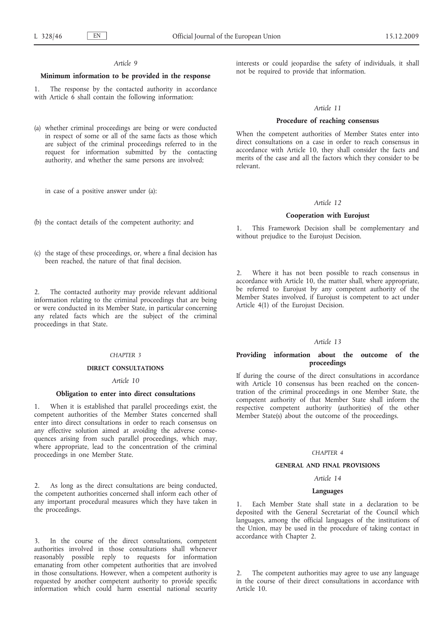### *Article 9*

#### **Minimum information to be provided in the response**

1. The response by the contacted authority in accordance with Article  $\vec{6}$  shall contain the following information:

(a) whether criminal proceedings are being or were conducted in respect of some or all of the same facts as those which are subject of the criminal proceedings referred to in the request for information submitted by the contacting authority, and whether the same persons are involved;

in case of a positive answer under (a):

- (b) the contact details of the competent authority; and
- (c) the stage of these proceedings, or, where a final decision has been reached, the nature of that final decision.

2. The contacted authority may provide relevant additional information relating to the criminal proceedings that are being or were conducted in its Member State, in particular concerning any related facts which are the subject of the criminal proceedings in that State.

### *CHAPTER 3*

## **DIRECT CONSULTATIONS**

#### *Article 10*

#### **Obligation to enter into direct consultations**

1. When it is established that parallel proceedings exist, the competent authorities of the Member States concerned shall enter into direct consultations in order to reach consensus on any effective solution aimed at avoiding the adverse consequences arising from such parallel proceedings, which may, where appropriate, lead to the concentration of the criminal proceedings in one Member State.

2. As long as the direct consultations are being conducted, the competent authorities concerned shall inform each other of any important procedural measures which they have taken in the proceedings.

3. In the course of the direct consultations, competent authorities involved in those consultations shall whenever reasonably possible reply to requests for information emanating from other competent authorities that are involved in those consultations. However, when a competent authority is requested by another competent authority to provide specific information which could harm essential national security

interests or could jeopardise the safety of individuals, it shall not be required to provide that information.

#### *Article 11*

## **Procedure of reaching consensus**

When the competent authorities of Member States enter into direct consultations on a case in order to reach consensus in accordance with Article 10, they shall consider the facts and merits of the case and all the factors which they consider to be relevant.

#### *Article 12*

#### **Cooperation with Eurojust**

1. This Framework Decision shall be complementary and without prejudice to the Eurojust Decision.

2. Where it has not been possible to reach consensus in accordance with Article 10, the matter shall, where appropriate, be referred to Eurojust by any competent authority of the Member States involved, if Eurojust is competent to act under Article 4(1) of the Eurojust Decision.

#### *Article 13*

### **Providing information about the outcome of the proceedings**

If during the course of the direct consultations in accordance with Article 10 consensus has been reached on the concentration of the criminal proceedings in one Member State, the competent authority of that Member State shall inform the respective competent authority (authorities) of the other Member State(s) about the outcome of the proceedings.

#### *CHAPTER 4*

## **GENERAL AND FINAL PROVISIONS**

#### *Article 14*

#### **Languages**

1. Each Member State shall state in a declaration to be deposited with the General Secretariat of the Council which languages, among the official languages of the institutions of the Union, may be used in the procedure of taking contact in accordance with Chapter 2.

2. The competent authorities may agree to use any language in the course of their direct consultations in accordance with Article 10.